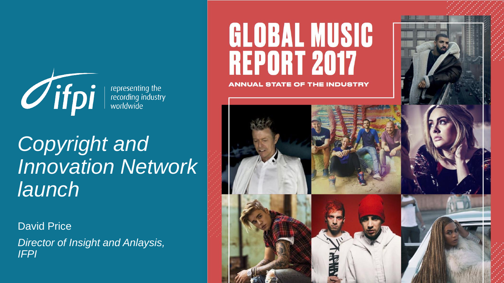

representing the<br>recording industry<br>worldwide

### *Copyright and Innovation Network launch*

David Price *Director of Insight and Anlaysis, IFPI*

# **GLOBAL MUSIC REPORT 2017**

**ANNUAL STATE OF THE INDUSTRY** 

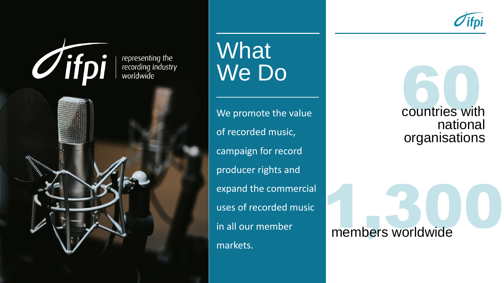



**What** We Do

We promote the value of recorded music, campaign for record producer rights and expand the commercial uses of recorded music in all our member markets.

countries with national organisations

members worldwide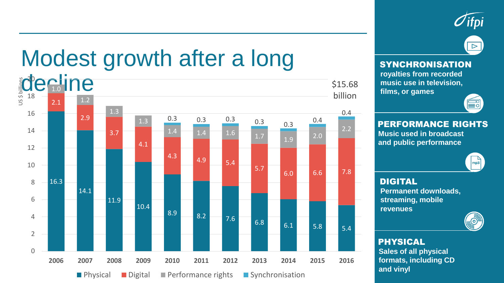



# Modest growth after a long



#### **SYNCHRONISATION**

**royalties from recorded music use in television, films, or games**



#### PERFORMANCE RIGHTS

**Music used in broadcast and public performance**



DIGITAL **Permanent downloads, streaming, mobile revenues**



PHYSICAL **Sales of all physical formats, including CD and vinyl**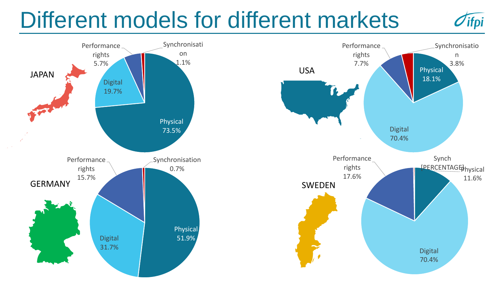# Different models for different markets